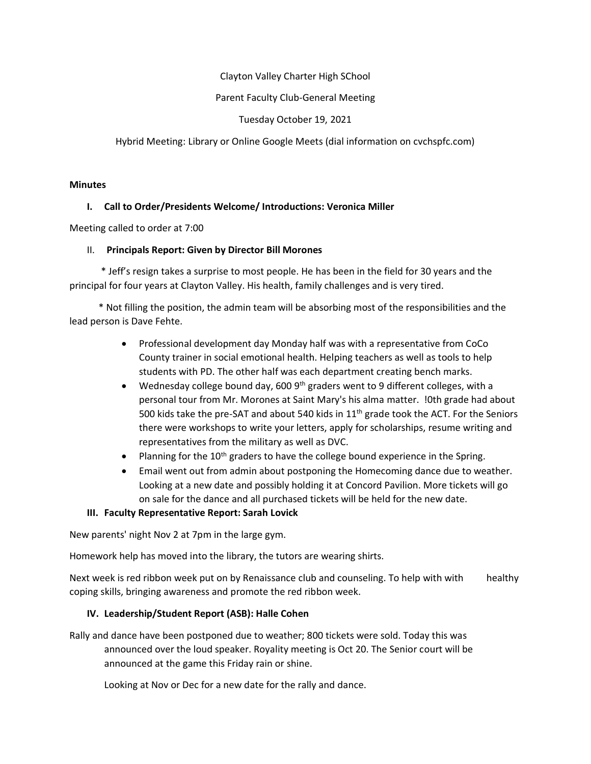Clayton Valley Charter High SChool

### Parent Faculty Club-General Meeting

Tuesday October 19, 2021

Hybrid Meeting: Library or Online Google Meets (dial information on cvchspfc.com)

#### **Minutes**

# **I. Call to Order/Presidents Welcome/ Introductions: Veronica Miller**

Meeting called to order at 7:00

### II. **Principals Report: Given by Director Bill Morones**

 \* Jeff's resign takes a surprise to most people. He has been in the field for 30 years and the principal for four years at Clayton Valley. His health, family challenges and is very tired.

 \* Not filling the position, the admin team will be absorbing most of the responsibilities and the lead person is Dave Fehte.

- Professional development day Monday half was with a representative from CoCo County trainer in social emotional health. Helping teachers as well as tools to help students with PD. The other half was each department creating bench marks.
- Wednesday college bound day, 600  $9<sup>th</sup>$  graders went to 9 different colleges, with a personal tour from Mr. Morones at Saint Mary's his alma matter. !0th grade had about 500 kids take the pre-SAT and about 540 kids in  $11<sup>th</sup>$  grade took the ACT. For the Seniors there were workshops to write your letters, apply for scholarships, resume writing and representatives from the military as well as DVC.
- Planning for the 10<sup>th</sup> graders to have the college bound experience in the Spring.
- Email went out from admin about postponing the Homecoming dance due to weather. Looking at a new date and possibly holding it at Concord Pavilion. More tickets will go on sale for the dance and all purchased tickets will be held for the new date.

# **III. Faculty Representative Report: Sarah Lovick**

New parents' night Nov 2 at 7pm in the large gym.

Homework help has moved into the library, the tutors are wearing shirts.

Next week is red ribbon week put on by Renaissance club and counseling. To help with with healthy coping skills, bringing awareness and promote the red ribbon week.

# **IV. Leadership/Student Report (ASB): Halle Cohen**

Rally and dance have been postponed due to weather; 800 tickets were sold. Today this was announced over the loud speaker. Royality meeting is Oct 20. The Senior court will be announced at the game this Friday rain or shine.

Looking at Nov or Dec for a new date for the rally and dance.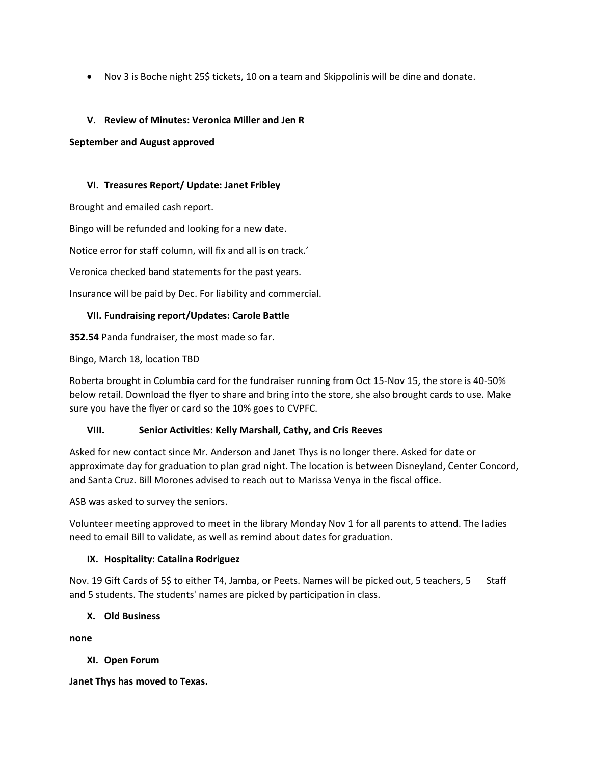• Nov 3 is Boche night 25\$ tickets, 10 on a team and Skippolinis will be dine and donate.

## **V. Review of Minutes: Veronica Miller and Jen R**

#### **September and August approved**

#### **VI. Treasures Report/ Update: Janet Fribley**

Brought and emailed cash report.

Bingo will be refunded and looking for a new date.

Notice error for staff column, will fix and all is on track.'

Veronica checked band statements for the past years.

Insurance will be paid by Dec. For liability and commercial.

### **VII. Fundraising report/Updates: Carole Battle**

**352.54** Panda fundraiser, the most made so far.

Bingo, March 18, location TBD

Roberta brought in Columbia card for the fundraiser running from Oct 15-Nov 15, the store is 40-50% below retail. Download the flyer to share and bring into the store, she also brought cards to use. Make sure you have the flyer or card so the 10% goes to CVPFC.

#### **VIII. Senior Activities: Kelly Marshall, Cathy, and Cris Reeves**

Asked for new contact since Mr. Anderson and Janet Thys is no longer there. Asked for date or approximate day for graduation to plan grad night. The location is between Disneyland, Center Concord, and Santa Cruz. Bill Morones advised to reach out to Marissa Venya in the fiscal office.

ASB was asked to survey the seniors.

Volunteer meeting approved to meet in the library Monday Nov 1 for all parents to attend. The ladies need to email Bill to validate, as well as remind about dates for graduation.

#### **IX. Hospitality: Catalina Rodriguez**

Nov. 19 Gift Cards of 5\$ to either T4, Jamba, or Peets. Names will be picked out, 5 teachers, 5 Staff and 5 students. The students' names are picked by participation in class.

#### **X. Old Business**

**none**

#### **XI. Open Forum**

**Janet Thys has moved to Texas.**